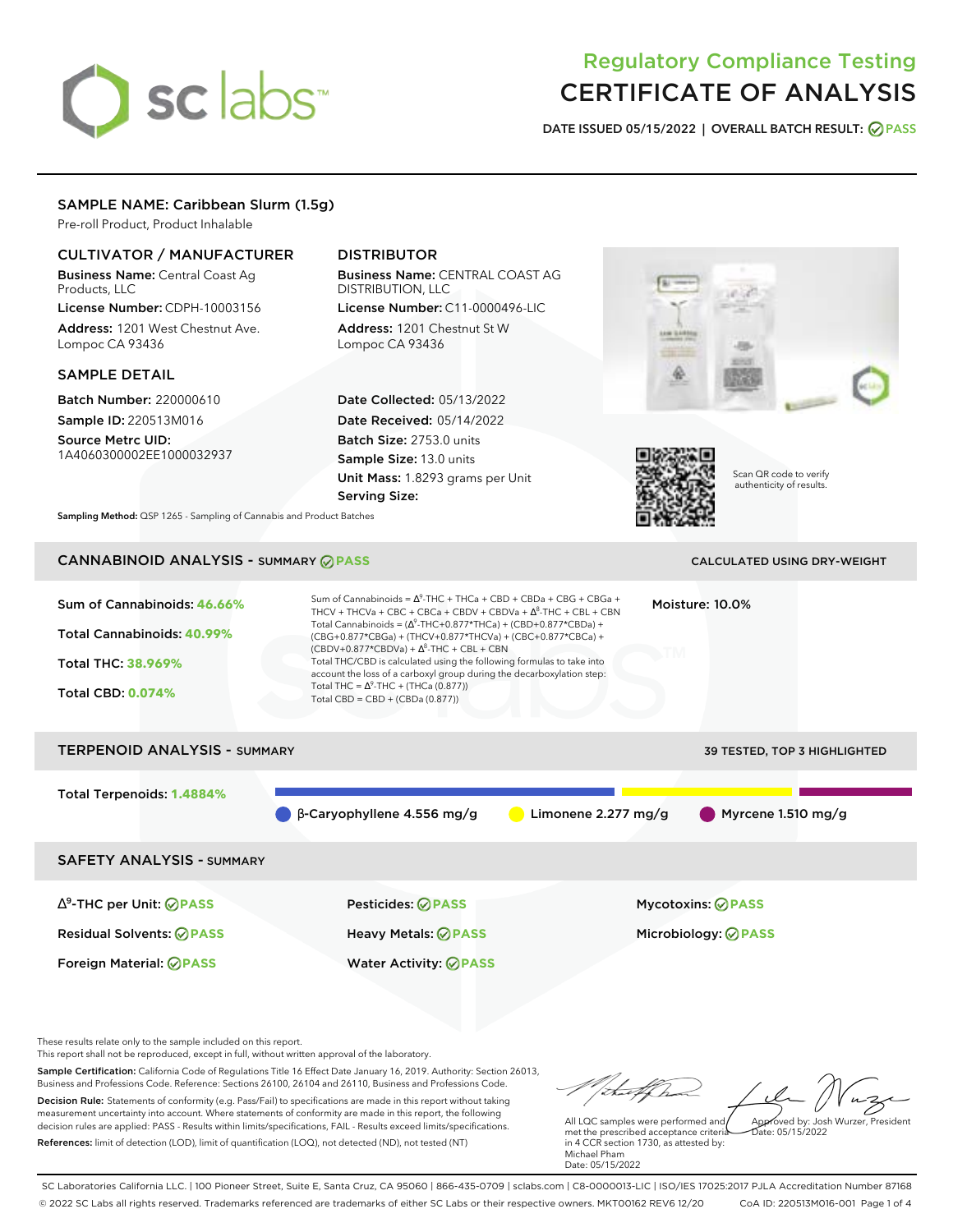# sclabs<sup>\*</sup>

# Regulatory Compliance Testing CERTIFICATE OF ANALYSIS

**DATE ISSUED 05/15/2022 | OVERALL BATCH RESULT: PASS**

# SAMPLE NAME: Caribbean Slurm (1.5g)

Pre-roll Product, Product Inhalable

# CULTIVATOR / MANUFACTURER

Business Name: Central Coast Ag Products, LLC

License Number: CDPH-10003156 Address: 1201 West Chestnut Ave. Lompoc CA 93436

# SAMPLE DETAIL

Batch Number: 220000610 Sample ID: 220513M016

Source Metrc UID: 1A4060300002EE1000032937

# DISTRIBUTOR

Business Name: CENTRAL COAST AG DISTRIBUTION, LLC License Number: C11-0000496-LIC

Address: 1201 Chestnut St W Lompoc CA 93436

Date Collected: 05/13/2022 Date Received: 05/14/2022 Batch Size: 2753.0 units Sample Size: 13.0 units Unit Mass: 1.8293 grams per Unit Serving Size:





Scan QR code to verify authenticity of results.

**Sampling Method:** QSP 1265 - Sampling of Cannabis and Product Batches

# CANNABINOID ANALYSIS - SUMMARY **PASS** CALCULATED USING DRY-WEIGHT

| Sum of Cannabinoids: 46.66%<br>Total Cannabinoids: 40.99%<br><b>Total THC: 38.969%</b><br><b>Total CBD: 0.074%</b> | Sum of Cannabinoids = $\Delta^9$ -THC + THCa + CBD + CBDa + CBG + CBGa +<br>THCV + THCVa + CBC + CBCa + CBDV + CBDVa + $\Delta^8$ -THC + CBL + CBN<br>Total Cannabinoids = $(\Delta^9$ -THC+0.877*THCa) + (CBD+0.877*CBDa) +<br>(CBG+0.877*CBGa) + (THCV+0.877*THCVa) + (CBC+0.877*CBCa) +<br>$(CBDV+0.877*CBDVa) + \Delta^{8}$ -THC + CBL + CBN<br>Total THC/CBD is calculated using the following formulas to take into<br>account the loss of a carboxyl group during the decarboxylation step:<br>Total THC = $\Delta^9$ -THC + (THCa (0.877))<br>Total CBD = $CBD + (CBDa (0.877))$ |                     | Moisture: 10.0%              |
|--------------------------------------------------------------------------------------------------------------------|------------------------------------------------------------------------------------------------------------------------------------------------------------------------------------------------------------------------------------------------------------------------------------------------------------------------------------------------------------------------------------------------------------------------------------------------------------------------------------------------------------------------------------------------------------------------------------------|---------------------|------------------------------|
| <b>TERPENOID ANALYSIS - SUMMARY</b>                                                                                |                                                                                                                                                                                                                                                                                                                                                                                                                                                                                                                                                                                          |                     | 39 TESTED, TOP 3 HIGHLIGHTED |
| Total Terpenoids: 1.4884%                                                                                          | $\beta$ -Caryophyllene 4.556 mg/g                                                                                                                                                                                                                                                                                                                                                                                                                                                                                                                                                        | Limonene 2.277 mg/g | Myrcene 1.510 mg/g           |
| <b>SAFETY ANALYSIS - SUMMARY</b>                                                                                   |                                                                                                                                                                                                                                                                                                                                                                                                                                                                                                                                                                                          |                     |                              |
|                                                                                                                    |                                                                                                                                                                                                                                                                                                                                                                                                                                                                                                                                                                                          |                     |                              |

Residual Solvents: **PASS** Heavy Metals: **PASS** Microbiology: **PASS**

∆ 9 -THC per Unit: **PASS** Pesticides: **PASS** Mycotoxins: **PASS**

Foreign Material: **PASS** Water Activity: **PASS**

These results relate only to the sample included on this report.

This report shall not be reproduced, except in full, without written approval of the laboratory.

Sample Certification: California Code of Regulations Title 16 Effect Date January 16, 2019. Authority: Section 26013, Business and Professions Code. Reference: Sections 26100, 26104 and 26110, Business and Professions Code. Decision Rule: Statements of conformity (e.g. Pass/Fail) to specifications are made in this report without taking measurement uncertainty into account. Where statements of conformity are made in this report, the following decision rules are applied: PASS - Results within limits/specifications, FAIL - Results exceed limits/specifications.

References: limit of detection (LOD), limit of quantification (LOQ), not detected (ND), not tested (NT)

Approved by: Josh Wurzer, President

Date: 05/15/2022

All LQC samples were performed and met the prescribed acceptance criteria in 4 CCR section 1730, as attested by: Michael Pham Date: 05/15/2022

SC Laboratories California LLC. | 100 Pioneer Street, Suite E, Santa Cruz, CA 95060 | 866-435-0709 | sclabs.com | C8-0000013-LIC | ISO/IES 17025:2017 PJLA Accreditation Number 87168 © 2022 SC Labs all rights reserved. Trademarks referenced are trademarks of either SC Labs or their respective owners. MKT00162 REV6 12/20 CoA ID: 220513M016-001 Page 1 of 4